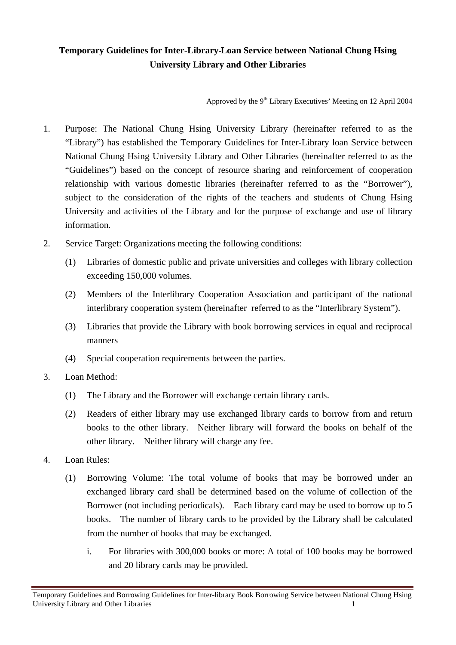## **Temporary Guidelines for Inter-Library Loan Service between National Chung Hsing University Library and Other Libraries**

Approved by the 9<sup>th</sup> Library Executives' Meeting on 12 April 2004

- 1. Purpose: The National Chung Hsing University Library (hereinafter referred to as the "Library") has established the Temporary Guidelines for Inter-Library loan Service between National Chung Hsing University Library and Other Libraries (hereinafter referred to as the "Guidelines") based on the concept of resource sharing and reinforcement of cooperation relationship with various domestic libraries (hereinafter referred to as the "Borrower"), subject to the consideration of the rights of the teachers and students of Chung Hsing University and activities of the Library and for the purpose of exchange and use of library information.
- 2. Service Target: Organizations meeting the following conditions:
	- (1) Libraries of domestic public and private universities and colleges with library collection exceeding 150,000 volumes.
	- (2) Members of the Interlibrary Cooperation Association and participant of the national interlibrary cooperation system (hereinafter referred to as the "Interlibrary System").
	- (3) Libraries that provide the Library with book borrowing services in equal and reciprocal manners
	- (4) Special cooperation requirements between the parties.
- 3. Loan Method:
	- (1) The Library and the Borrower will exchange certain library cards.
	- (2) Readers of either library may use exchanged library cards to borrow from and return books to the other library. Neither library will forward the books on behalf of the other library. Neither library will charge any fee.
- 4. Loan Rules:
	- (1) Borrowing Volume: The total volume of books that may be borrowed under an exchanged library card shall be determined based on the volume of collection of the Borrower (not including periodicals). Each library card may be used to borrow up to 5 books. The number of library cards to be provided by the Library shall be calculated from the number of books that may be exchanged.
		- i. For libraries with 300,000 books or more: A total of 100 books may be borrowed and 20 library cards may be provided.

Temporary Guidelines and Borrowing Guidelines for Inter-library Book Borrowing Service between National Chung Hsing University Library and Other Libraries  $-1$